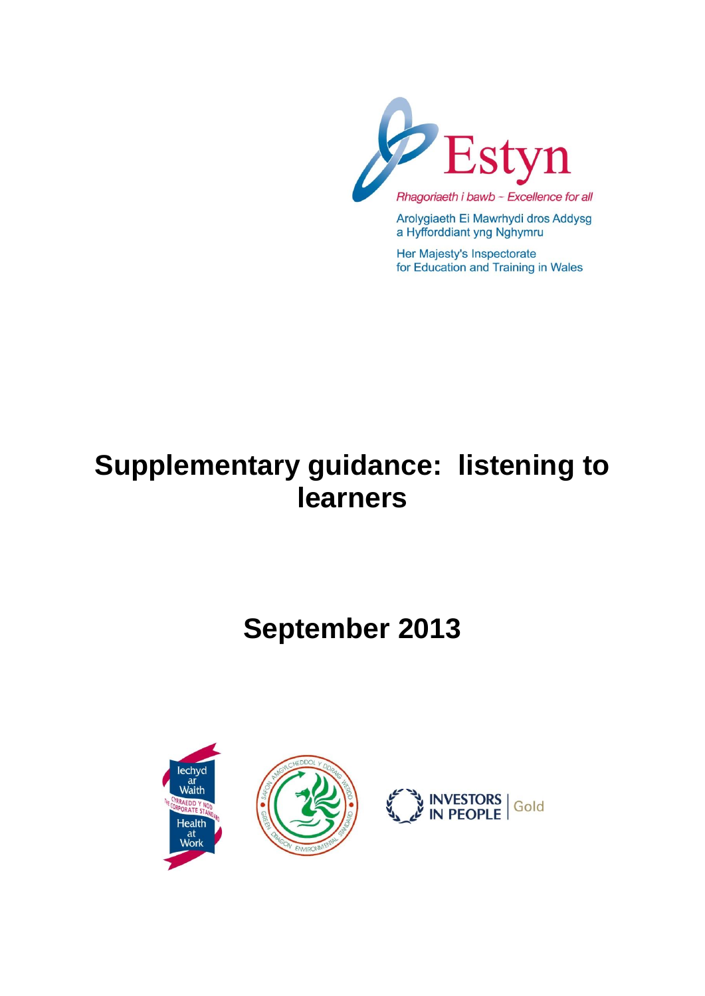

Arolygiaeth Ei Mawrhydi dros Addysg a Hyfforddiant yng Nghymru

Her Majesty's Inspectorate for Education and Training in Wales

# **Supplementary guidance: listening to learners**

# **September 2013**

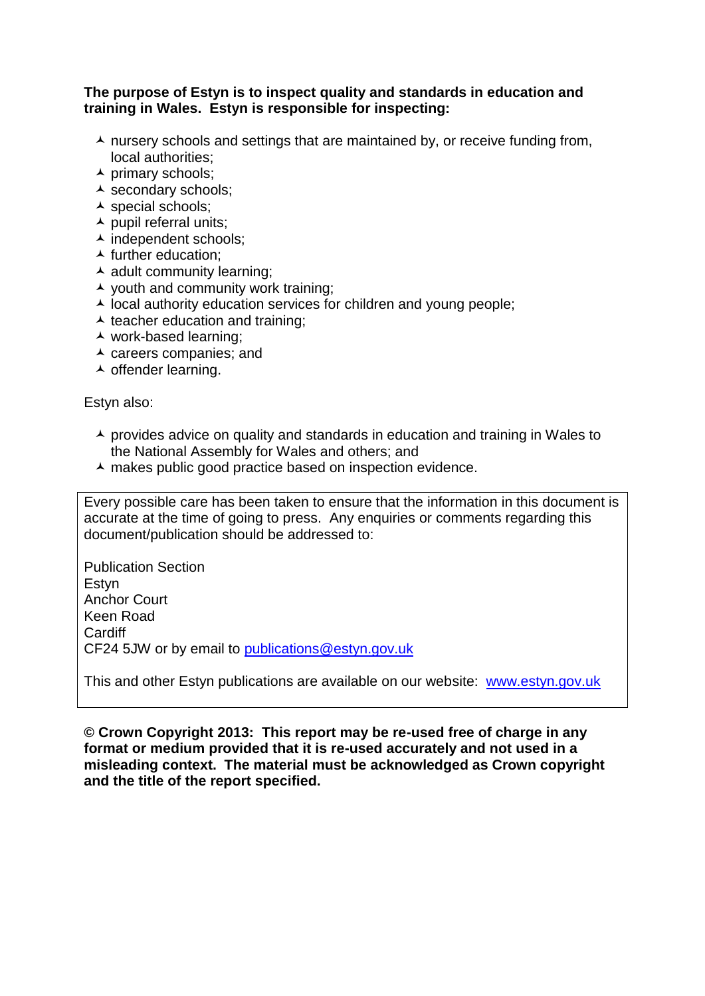#### **The purpose of Estyn is to inspect quality and standards in education and training in Wales. Estyn is responsible for inspecting:**

- $\lambda$  nursery schools and settings that are maintained by, or receive funding from, local authorities;
- $\overline{\phantom{a}}$  primary schools;
- ▲ secondary schools;
- $\overline{\phantom{a}}$  special schools;
- $\blacktriangle$  pupil referral units;
- $\overline{\phantom{a}}$  independent schools;
- $\blacktriangle$  further education:
- $\overline{\phantom{a}}$  adult community learning;
- $\lambda$  youth and community work training;
- $\overline{\phantom{a}}$  local authority education services for children and young people;
- $\triangle$  teacher education and training:
- work-based learning;
- $\lambda$  careers companies; and
- $\overline{\phantom{a}}$  offender learning.

Estyn also:

- $\triangle$  provides advice on quality and standards in education and training in Wales to the National Assembly for Wales and others; and
- A makes public good practice based on inspection evidence.

Every possible care has been taken to ensure that the information in this document is accurate at the time of going to press. Any enquiries or comments regarding this document/publication should be addressed to:

Publication Section Estyn Anchor Court Keen Road Cardiff CF24 5JW or by email to [publications@estyn.gov.uk](mailto:publications@estyn.gov.uk)

This and other Estyn publications are available on our website: [www.estyn.gov.uk](http://www.estyn.gov.uk/)

**© Crown Copyright 2013: This report may be re-used free of charge in any format or medium provided that it is re-used accurately and not used in a misleading context. The material must be acknowledged as Crown copyright and the title of the report specified.**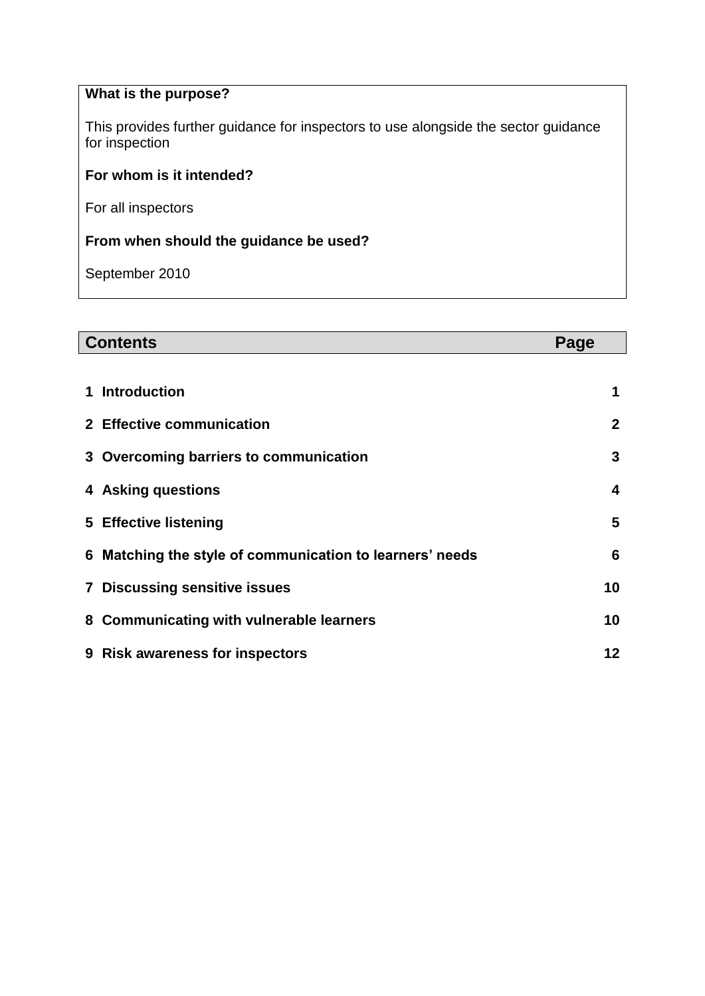# **What is the purpose?**

This provides further guidance for inspectors to use alongside the sector guidance for inspection

### **For whom is it intended?**

For all inspectors

### **From when should the guidance be used?**

September 2010

| <b>Contents</b>                                             |              |
|-------------------------------------------------------------|--------------|
|                                                             |              |
| <b>Introduction</b>                                         | 1            |
| 2 Effective communication                                   | $\mathbf{2}$ |
| 3 Overcoming barriers to communication                      | 3            |
| 4 Asking questions                                          | 4            |
| 5 Effective listening                                       | 5            |
| Matching the style of communication to learners' needs<br>6 | 6            |
| <b>7 Discussing sensitive issues</b>                        | 10           |
| 8 Communicating with vulnerable learners                    | 10           |
| 9 Risk awareness for inspectors                             | 12           |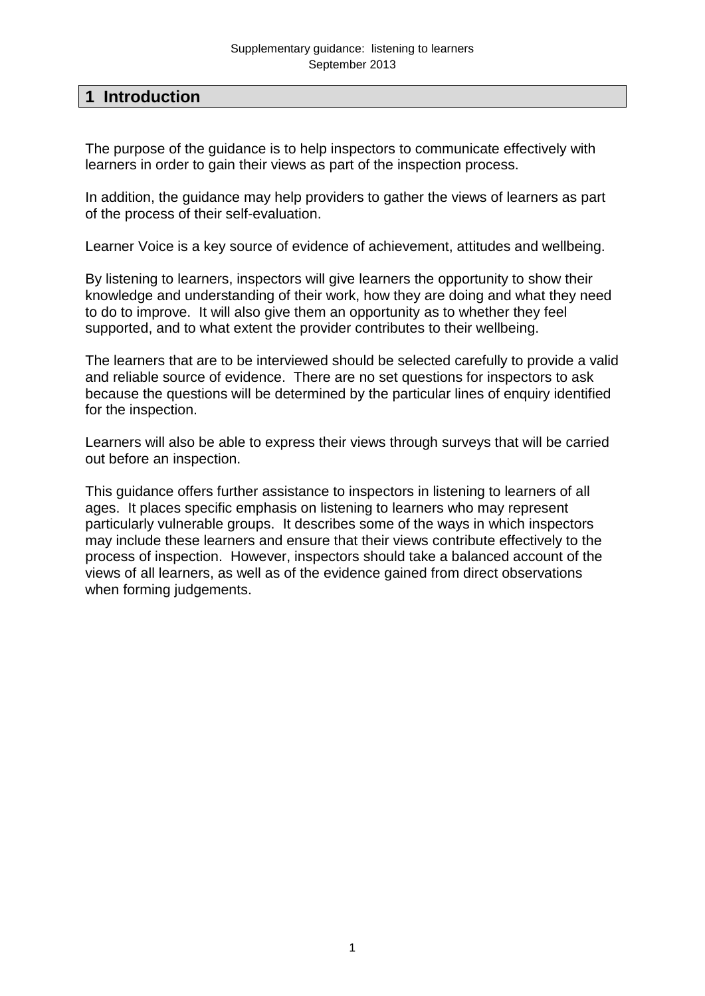## **1 Introduction**

The purpose of the guidance is to help inspectors to communicate effectively with learners in order to gain their views as part of the inspection process.

In addition, the guidance may help providers to gather the views of learners as part of the process of their self-evaluation.

Learner Voice is a key source of evidence of achievement, attitudes and wellbeing.

By listening to learners, inspectors will give learners the opportunity to show their knowledge and understanding of their work, how they are doing and what they need to do to improve. It will also give them an opportunity as to whether they feel supported, and to what extent the provider contributes to their wellbeing.

The learners that are to be interviewed should be selected carefully to provide a valid and reliable source of evidence. There are no set questions for inspectors to ask because the questions will be determined by the particular lines of enquiry identified for the inspection.

Learners will also be able to express their views through surveys that will be carried out before an inspection.

This guidance offers further assistance to inspectors in listening to learners of all ages. It places specific emphasis on listening to learners who may represent particularly vulnerable groups. It describes some of the ways in which inspectors may include these learners and ensure that their views contribute effectively to the process of inspection. However, inspectors should take a balanced account of the views of all learners, as well as of the evidence gained from direct observations when forming judgements.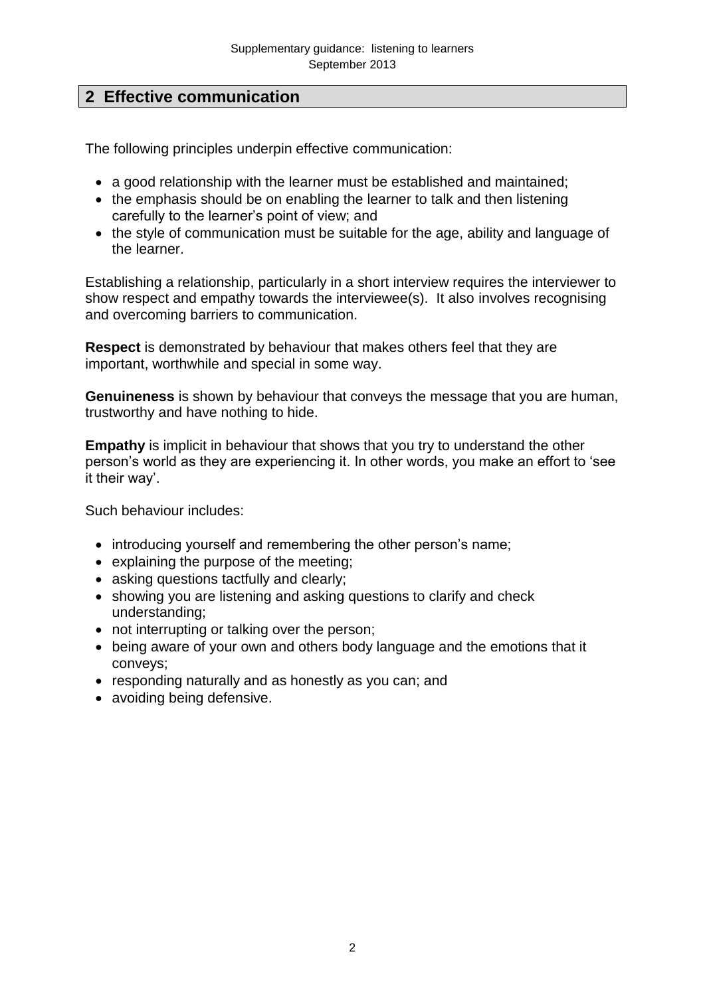# **2 Effective communication**

The following principles underpin effective communication:

- a good relationship with the learner must be established and maintained;
- the emphasis should be on enabling the learner to talk and then listening carefully to the learner's point of view; and
- the style of communication must be suitable for the age, ability and language of the learner.

Establishing a relationship, particularly in a short interview requires the interviewer to show respect and empathy towards the interviewee(s). It also involves recognising and overcoming barriers to communication.

**Respect** is demonstrated by behaviour that makes others feel that they are important, worthwhile and special in some way.

**Genuineness** is shown by behaviour that conveys the message that you are human, trustworthy and have nothing to hide.

**Empathy** is implicit in behaviour that shows that you try to understand the other person's world as they are experiencing it. In other words, you make an effort to 'see it their way'.

Such behaviour includes:

- introducing yourself and remembering the other person's name;
- explaining the purpose of the meeting;
- asking questions tactfully and clearly:
- showing you are listening and asking questions to clarify and check understanding;
- not interrupting or talking over the person;
- being aware of your own and others body language and the emotions that it conveys;
- responding naturally and as honestly as you can; and
- avoiding being defensive.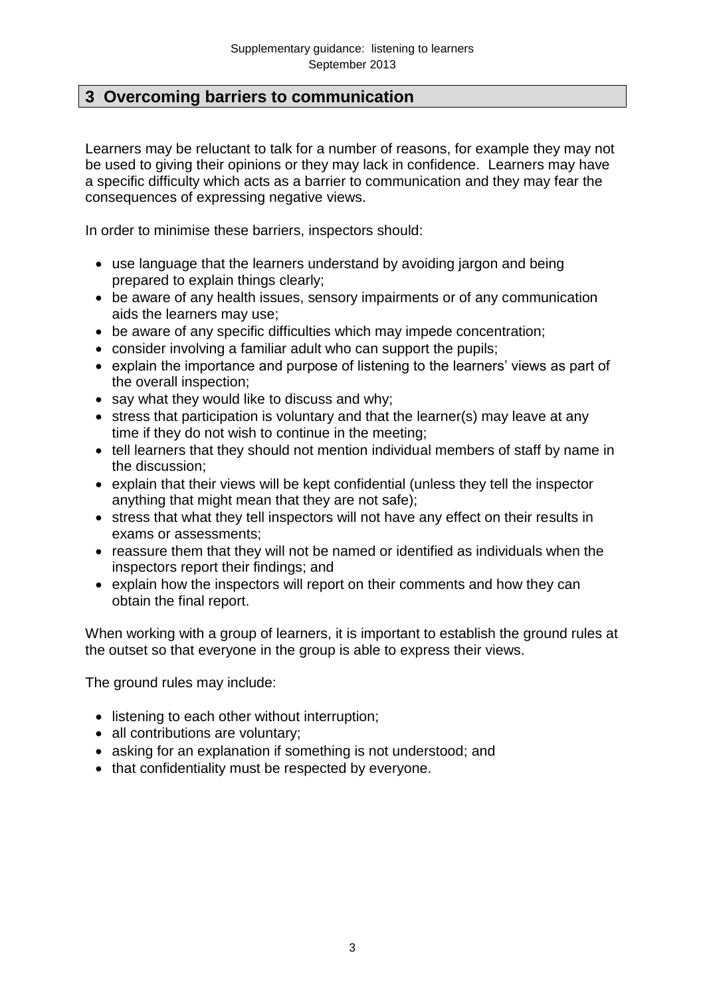## **3 Overcoming barriers to communication**

Learners may be reluctant to talk for a number of reasons, for example they may not be used to giving their opinions or they may lack in confidence. Learners may have a specific difficulty which acts as a barrier to communication and they may fear the consequences of expressing negative views.

In order to minimise these barriers, inspectors should:

- use language that the learners understand by avoiding jargon and being prepared to explain things clearly;
- be aware of any health issues, sensory impairments or of any communication aids the learners may use;
- be aware of any specific difficulties which may impede concentration;
- consider involving a familiar adult who can support the pupils;
- explain the importance and purpose of listening to the learners' views as part of the overall inspection;
- say what they would like to discuss and why;
- $\bullet$  stress that participation is voluntary and that the learner(s) may leave at any time if they do not wish to continue in the meeting;
- tell learners that they should not mention individual members of staff by name in the discussion;
- explain that their views will be kept confidential (unless they tell the inspector anything that might mean that they are not safe);
- stress that what they tell inspectors will not have any effect on their results in exams or assessments;
- reassure them that they will not be named or identified as individuals when the inspectors report their findings; and
- explain how the inspectors will report on their comments and how they can obtain the final report.

When working with a group of learners, it is important to establish the ground rules at the outset so that everyone in the group is able to express their views.

The ground rules may include:

- listening to each other without interruption;
- all contributions are voluntary:
- asking for an explanation if something is not understood; and
- that confidentiality must be respected by everyone.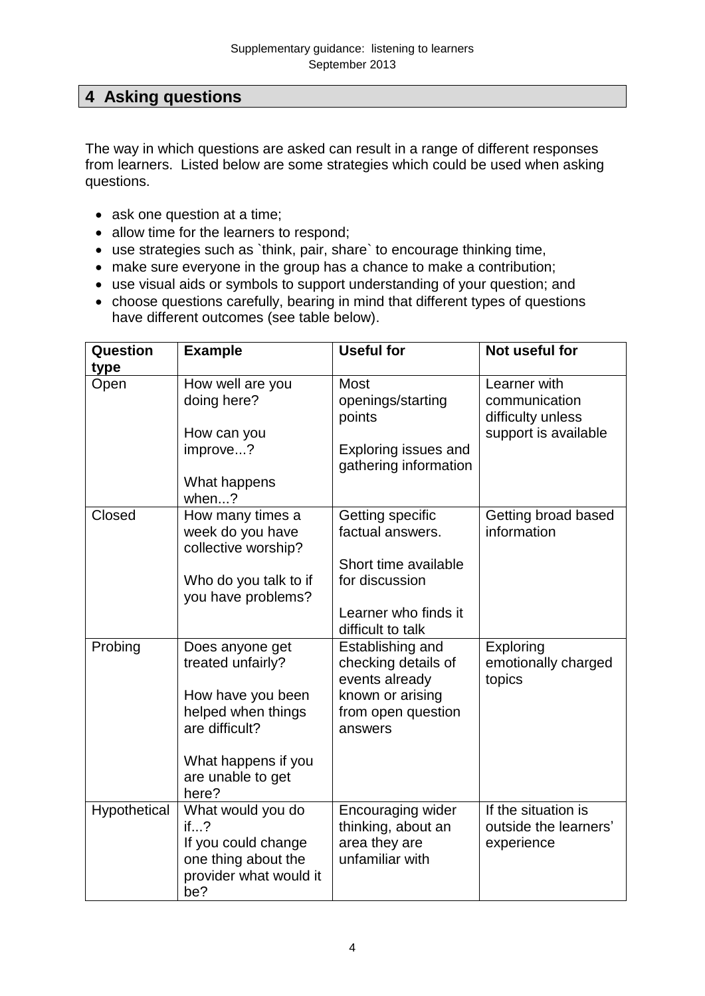# **4 Asking questions**

The way in which questions are asked can result in a range of different responses from learners. Listed below are some strategies which could be used when asking questions.

- ask one question at a time;
- allow time for the learners to respond;
- use strategies such as `think, pair, share` to encourage thinking time,
- make sure everyone in the group has a chance to make a contribution;
- use visual aids or symbols to support understanding of your question; and
- choose questions carefully, bearing in mind that different types of questions have different outcomes (see table below).

| Question     | <b>Example</b>                                                                                          | <b>Useful for</b>                                                           | Not useful for                                             |
|--------------|---------------------------------------------------------------------------------------------------------|-----------------------------------------------------------------------------|------------------------------------------------------------|
| type         |                                                                                                         |                                                                             |                                                            |
| Open         | How well are you<br>doing here?                                                                         | <b>Most</b><br>openings/starting<br>points                                  | Learner with<br>communication<br>difficulty unless         |
|              | How can you                                                                                             |                                                                             | support is available                                       |
|              | improve?                                                                                                | Exploring issues and<br>gathering information                               |                                                            |
|              | What happens<br>when?                                                                                   |                                                                             |                                                            |
| Closed       | How many times a<br>week do you have<br>collective worship?                                             | Getting specific<br>factual answers.                                        | Getting broad based<br>information                         |
|              | Who do you talk to if<br>you have problems?                                                             | Short time available<br>for discussion                                      |                                                            |
|              |                                                                                                         | Learner who finds it<br>difficult to talk                                   |                                                            |
| Probing      | Does anyone get<br>treated unfairly?                                                                    | Establishing and<br>checking details of<br>events already                   | Exploring<br>emotionally charged<br>topics                 |
|              | How have you been<br>helped when things<br>are difficult?                                               | known or arising<br>from open question<br>answers                           |                                                            |
|              | What happens if you<br>are unable to get<br>here?                                                       |                                                                             |                                                            |
| Hypothetical | What would you do<br>if?<br>If you could change<br>one thing about the<br>provider what would it<br>be? | Encouraging wider<br>thinking, about an<br>area they are<br>unfamiliar with | If the situation is<br>outside the learners'<br>experience |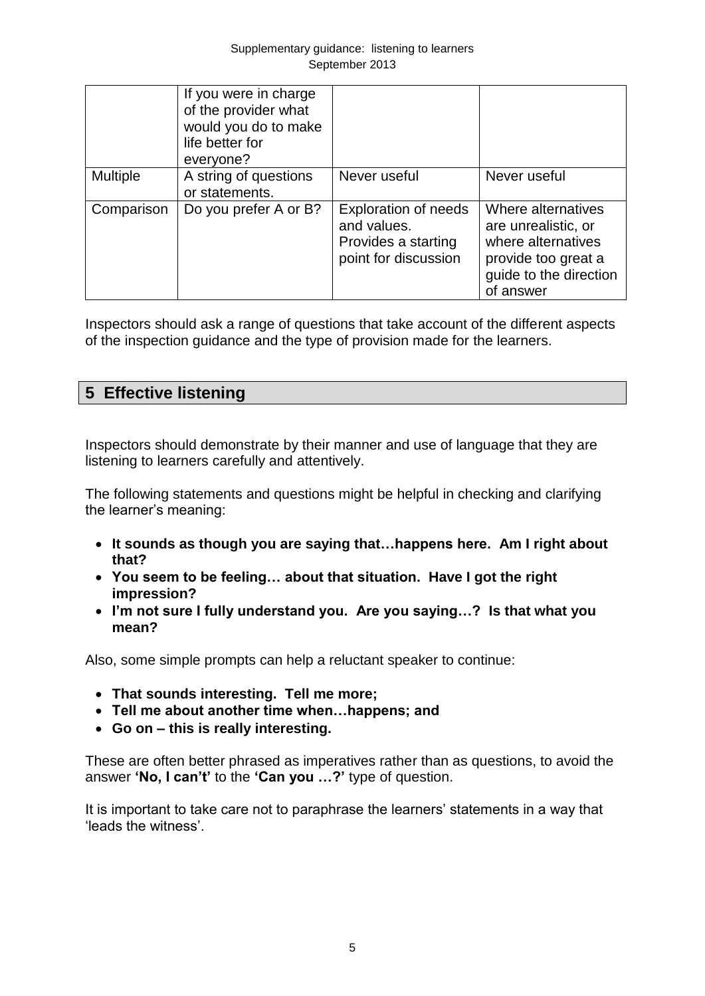|                 | If you were in charge<br>of the provider what<br>would you do to make<br>life better for<br>everyone? |                                                                                           |                                                                                                                               |
|-----------------|-------------------------------------------------------------------------------------------------------|-------------------------------------------------------------------------------------------|-------------------------------------------------------------------------------------------------------------------------------|
| <b>Multiple</b> | A string of questions<br>or statements.                                                               | Never useful                                                                              | Never useful                                                                                                                  |
| Comparison      | Do you prefer A or B?                                                                                 | <b>Exploration of needs</b><br>and values.<br>Provides a starting<br>point for discussion | Where alternatives<br>are unrealistic, or<br>where alternatives<br>provide too great a<br>guide to the direction<br>of answer |

Inspectors should ask a range of questions that take account of the different aspects of the inspection guidance and the type of provision made for the learners.

# **5 Effective listening**

Inspectors should demonstrate by their manner and use of language that they are listening to learners carefully and attentively.

The following statements and questions might be helpful in checking and clarifying the learner's meaning:

- **It sounds as though you are saying that…happens here. Am I right about that?**
- **You seem to be feeling… about that situation. Have I got the right impression?**
- **I'm not sure I fully understand you. Are you saying…? Is that what you mean?**

Also, some simple prompts can help a reluctant speaker to continue:

- **That sounds interesting. Tell me more;**
- **Tell me about another time when…happens; and**
- **Go on – this is really interesting.**

These are often better phrased as imperatives rather than as questions, to avoid the answer **'No, I can't'** to the **'Can you …?'** type of question.

It is important to take care not to paraphrase the learners' statements in a way that 'leads the witness'.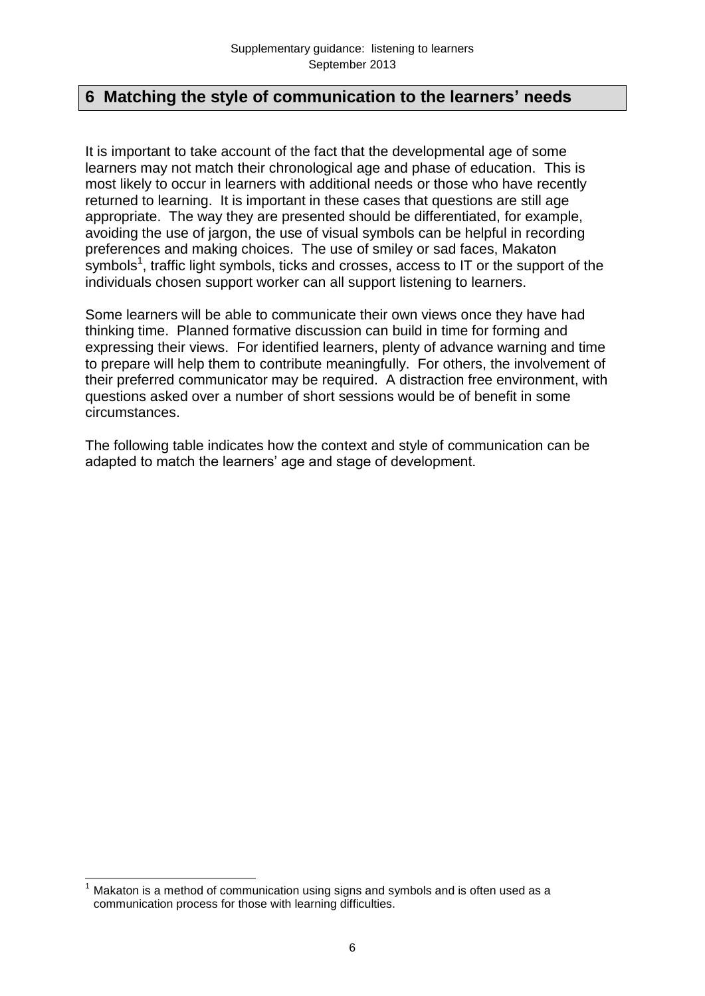# **6 Matching the style of communication to the learners' needs**

It is important to take account of the fact that the developmental age of some learners may not match their chronological age and phase of education. This is most likely to occur in learners with additional needs or those who have recently returned to learning. It is important in these cases that questions are still age appropriate. The way they are presented should be differentiated, for example, avoiding the use of jargon, the use of visual symbols can be helpful in recording preferences and making choices. The use of smiley or sad faces, Makaton symbols<sup>1</sup>, traffic light symbols, ticks and crosses, access to IT or the support of the individuals chosen support worker can all support listening to learners.

Some learners will be able to communicate their own views once they have had thinking time. Planned formative discussion can build in time for forming and expressing their views. For identified learners, plenty of advance warning and time to prepare will help them to contribute meaningfully. For others, the involvement of their preferred communicator may be required. A distraction free environment, with questions asked over a number of short sessions would be of benefit in some circumstances.

The following table indicates how the context and style of communication can be adapted to match the learners' age and stage of development.

<sup>&</sup>lt;u>.</u> Makaton is a method of communication using signs and symbols and is often used as a communication process for those with learning difficulties.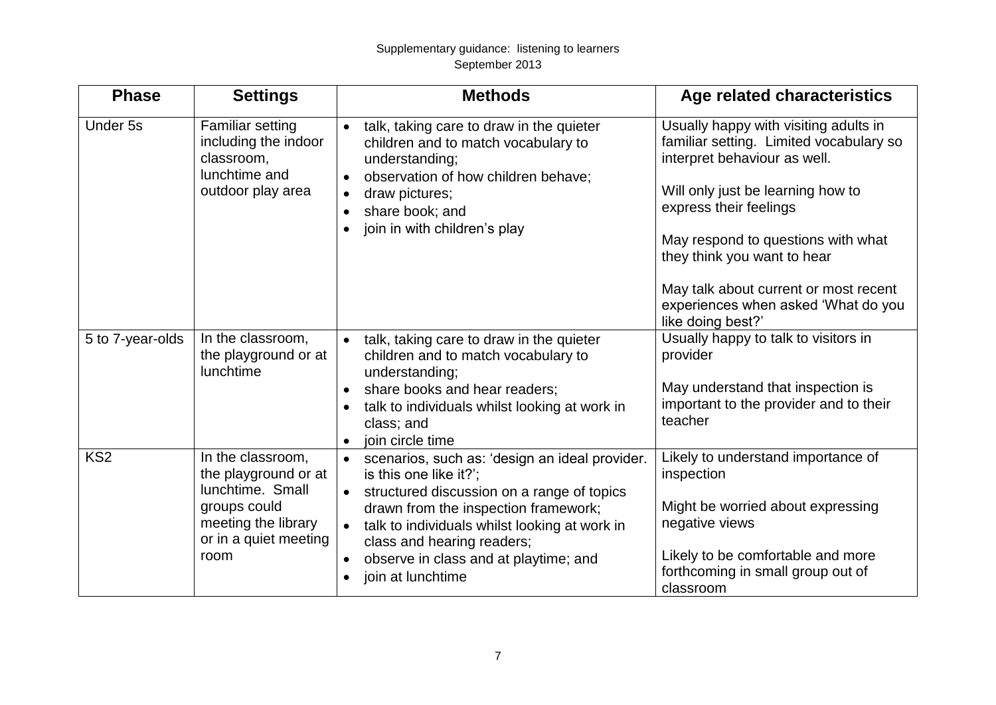#### Supplementary guidance: listening to learners September 2013

| <b>Phase</b>     | <b>Settings</b>                                                                                                                       | <b>Methods</b>                                                                                                                                                                                                                                                                                                                                     | Age related characteristics                                                                                                                                                                                                                                                                                                                               |
|------------------|---------------------------------------------------------------------------------------------------------------------------------------|----------------------------------------------------------------------------------------------------------------------------------------------------------------------------------------------------------------------------------------------------------------------------------------------------------------------------------------------------|-----------------------------------------------------------------------------------------------------------------------------------------------------------------------------------------------------------------------------------------------------------------------------------------------------------------------------------------------------------|
| Under 5s         | Familiar setting<br>including the indoor<br>classroom,<br>lunchtime and<br>outdoor play area                                          | talk, taking care to draw in the quieter<br>$\bullet$<br>children and to match vocabulary to<br>understanding;<br>observation of how children behave;<br>$\bullet$<br>draw pictures;<br>$\bullet$<br>share book; and<br>$\bullet$<br>join in with children's play                                                                                  | Usually happy with visiting adults in<br>familiar setting. Limited vocabulary so<br>interpret behaviour as well.<br>Will only just be learning how to<br>express their feelings<br>May respond to questions with what<br>they think you want to hear<br>May talk about current or most recent<br>experiences when asked 'What do you<br>like doing best?' |
| 5 to 7-year-olds | In the classroom,<br>the playground or at<br><b>lunchtime</b>                                                                         | talk, taking care to draw in the quieter<br>$\bullet$<br>children and to match vocabulary to<br>understanding;<br>share books and hear readers;<br>$\bullet$<br>talk to individuals whilst looking at work in<br>class; and<br>join circle time                                                                                                    | Usually happy to talk to visitors in<br>provider<br>May understand that inspection is<br>important to the provider and to their<br>teacher                                                                                                                                                                                                                |
| KS <sub>2</sub>  | In the classroom,<br>the playground or at<br>lunchtime. Small<br>groups could<br>meeting the library<br>or in a quiet meeting<br>room | scenarios, such as: 'design an ideal provider.<br>is this one like it?';<br>structured discussion on a range of topics<br>$\bullet$<br>drawn from the inspection framework;<br>talk to individuals whilst looking at work in<br>$\bullet$<br>class and hearing readers;<br>observe in class and at playtime; and<br>$\bullet$<br>join at lunchtime | Likely to understand importance of<br>inspection<br>Might be worried about expressing<br>negative views<br>Likely to be comfortable and more<br>forthcoming in small group out of<br>classroom                                                                                                                                                            |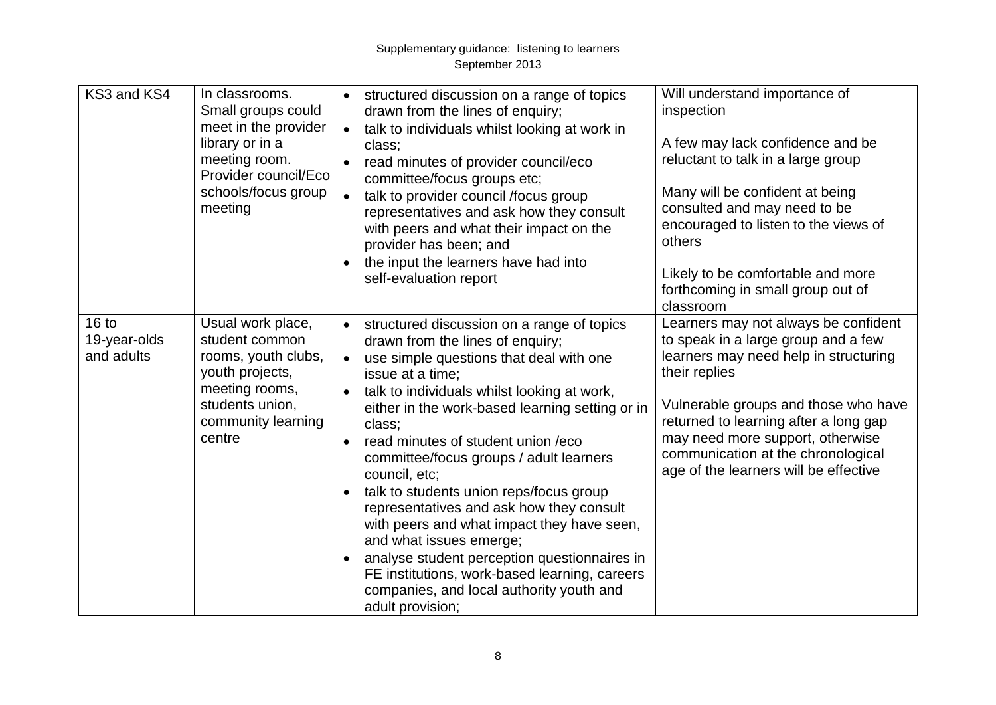| KS3 and KS4                                    | In classrooms.<br>Small groups could<br>meet in the provider<br>library or in a<br>meeting room.<br>Provider council/Eco<br>schools/focus group<br>meeting | structured discussion on a range of topics<br>drawn from the lines of enquiry;<br>talk to individuals whilst looking at work in<br>$\bullet$<br>class;<br>read minutes of provider council/eco<br>committee/focus groups etc;<br>talk to provider council /focus group<br>representatives and ask how they consult<br>with peers and what their impact on the<br>provider has been; and<br>the input the learners have had into<br>self-evaluation report                                                                                                                                                                                                                                                                           | Will understand importance of<br>inspection<br>A few may lack confidence and be<br>reluctant to talk in a large group<br>Many will be confident at being<br>consulted and may need to be<br>encouraged to listen to the views of<br>others<br>Likely to be comfortable and more<br>forthcoming in small group out of<br>classroom         |
|------------------------------------------------|------------------------------------------------------------------------------------------------------------------------------------------------------------|-------------------------------------------------------------------------------------------------------------------------------------------------------------------------------------------------------------------------------------------------------------------------------------------------------------------------------------------------------------------------------------------------------------------------------------------------------------------------------------------------------------------------------------------------------------------------------------------------------------------------------------------------------------------------------------------------------------------------------------|-------------------------------------------------------------------------------------------------------------------------------------------------------------------------------------------------------------------------------------------------------------------------------------------------------------------------------------------|
| 16 <sub>to</sub><br>19-year-olds<br>and adults | Usual work place,<br>student common<br>rooms, youth clubs,<br>youth projects,<br>meeting rooms,<br>students union,<br>community learning<br>centre         | structured discussion on a range of topics<br>drawn from the lines of enquiry;<br>use simple questions that deal with one<br>$\bullet$<br>issue at a time;<br>talk to individuals whilst looking at work,<br>either in the work-based learning setting or in<br>class;<br>read minutes of student union /eco<br>$\bullet$<br>committee/focus groups / adult learners<br>council, etc;<br>talk to students union reps/focus group<br>$\bullet$<br>representatives and ask how they consult<br>with peers and what impact they have seen,<br>and what issues emerge;<br>analyse student perception questionnaires in<br>FE institutions, work-based learning, careers<br>companies, and local authority youth and<br>adult provision; | Learners may not always be confident<br>to speak in a large group and a few<br>learners may need help in structuring<br>their replies<br>Vulnerable groups and those who have<br>returned to learning after a long gap<br>may need more support, otherwise<br>communication at the chronological<br>age of the learners will be effective |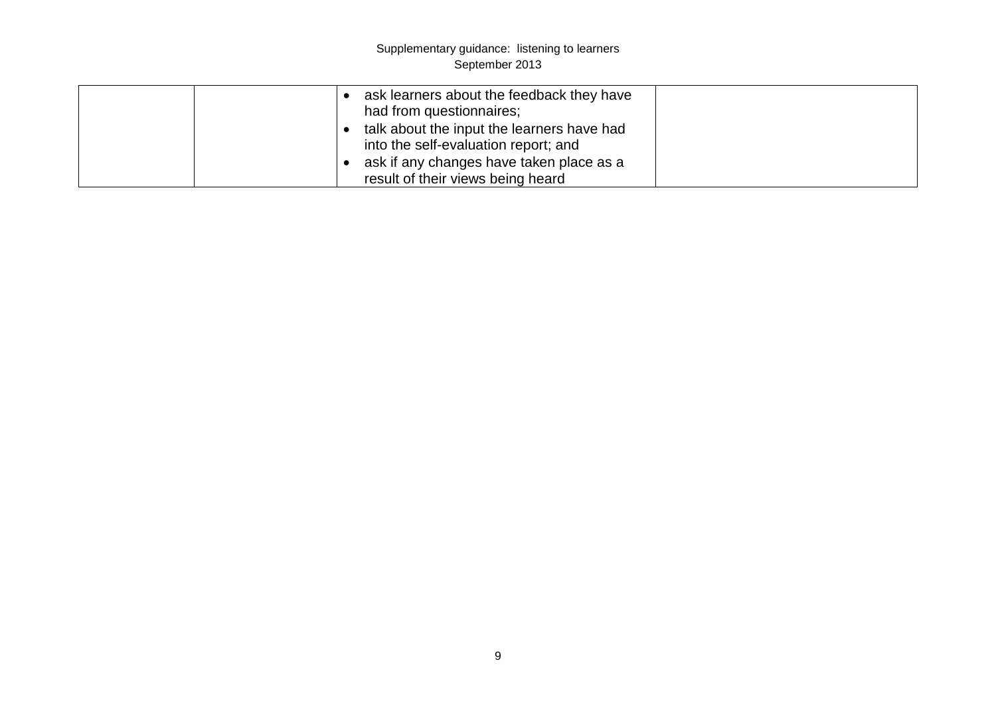#### Supplementary guidance: listening to learners September 2013

|  | ask learners about the feedback they have<br>had from questionnaires;              |  |
|--|------------------------------------------------------------------------------------|--|
|  | talk about the input the learners have had<br>into the self-evaluation report; and |  |
|  | ask if any changes have taken place as a<br>result of their views being heard      |  |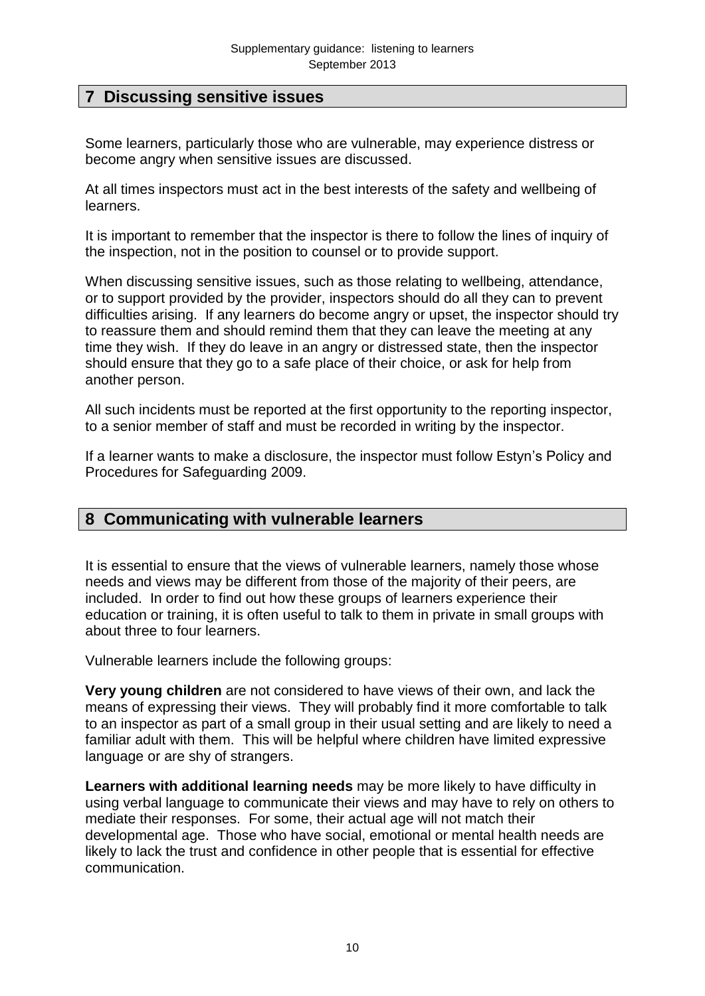# **7 Discussing sensitive issues**

Some learners, particularly those who are vulnerable, may experience distress or become angry when sensitive issues are discussed.

At all times inspectors must act in the best interests of the safety and wellbeing of learners.

It is important to remember that the inspector is there to follow the lines of inquiry of the inspection, not in the position to counsel or to provide support.

When discussing sensitive issues, such as those relating to wellbeing, attendance, or to support provided by the provider, inspectors should do all they can to prevent difficulties arising. If any learners do become angry or upset, the inspector should try to reassure them and should remind them that they can leave the meeting at any time they wish. If they do leave in an angry or distressed state, then the inspector should ensure that they go to a safe place of their choice, or ask for help from another person.

All such incidents must be reported at the first opportunity to the reporting inspector, to a senior member of staff and must be recorded in writing by the inspector.

If a learner wants to make a disclosure, the inspector must follow Estyn's Policy and Procedures for Safeguarding 2009.

#### **8 Communicating with vulnerable learners**

It is essential to ensure that the views of vulnerable learners, namely those whose needs and views may be different from those of the majority of their peers, are included. In order to find out how these groups of learners experience their education or training, it is often useful to talk to them in private in small groups with about three to four learners.

Vulnerable learners include the following groups:

**Very young children** are not considered to have views of their own, and lack the means of expressing their views. They will probably find it more comfortable to talk to an inspector as part of a small group in their usual setting and are likely to need a familiar adult with them. This will be helpful where children have limited expressive language or are shy of strangers.

**Learners with additional learning needs** may be more likely to have difficulty in using verbal language to communicate their views and may have to rely on others to mediate their responses. For some, their actual age will not match their developmental age. Those who have social, emotional or mental health needs are likely to lack the trust and confidence in other people that is essential for effective communication.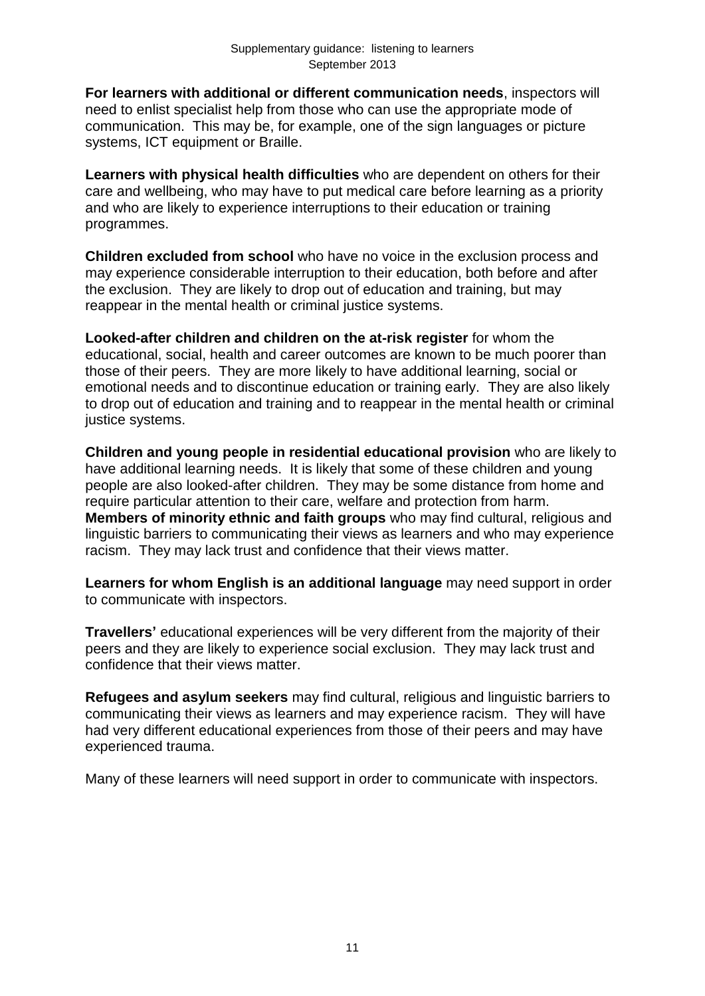**For learners with additional or different communication needs**, inspectors will need to enlist specialist help from those who can use the appropriate mode of communication. This may be, for example, one of the sign languages or picture systems, ICT equipment or Braille.

**Learners with physical health difficulties** who are dependent on others for their care and wellbeing, who may have to put medical care before learning as a priority and who are likely to experience interruptions to their education or training programmes.

**Children excluded from school** who have no voice in the exclusion process and may experience considerable interruption to their education, both before and after the exclusion. They are likely to drop out of education and training, but may reappear in the mental health or criminal justice systems.

**Looked-after children and children on the at-risk register** for whom the educational, social, health and career outcomes are known to be much poorer than those of their peers. They are more likely to have additional learning, social or emotional needs and to discontinue education or training early. They are also likely to drop out of education and training and to reappear in the mental health or criminal justice systems.

**Children and young people in residential educational provision** who are likely to have additional learning needs. It is likely that some of these children and young people are also looked-after children. They may be some distance from home and require particular attention to their care, welfare and protection from harm. **Members of minority ethnic and faith groups** who may find cultural, religious and linguistic barriers to communicating their views as learners and who may experience racism. They may lack trust and confidence that their views matter.

**Learners for whom English is an additional language** may need support in order to communicate with inspectors.

**Travellers'** educational experiences will be very different from the majority of their peers and they are likely to experience social exclusion. They may lack trust and confidence that their views matter.

**Refugees and asylum seekers** may find cultural, religious and linguistic barriers to communicating their views as learners and may experience racism. They will have had very different educational experiences from those of their peers and may have experienced trauma.

Many of these learners will need support in order to communicate with inspectors.